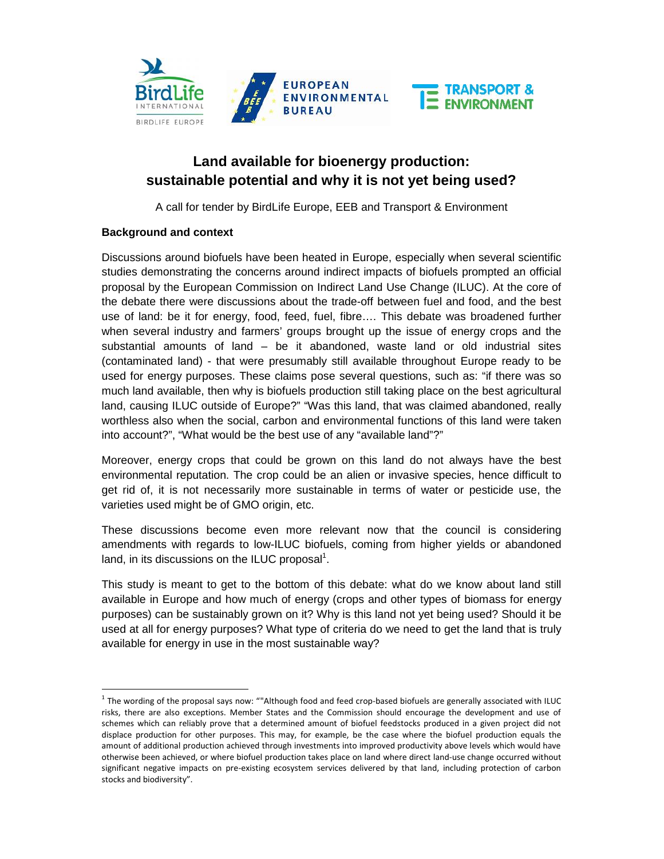

# **Land available for bioenergy production: sustainable potential and why it is not yet being used?**

A call for tender by BirdLife Europe, EEB and Transport & Environment

## **Background and context**

Discussions around biofuels have been heated in Europe, especially when several scientific studies demonstrating the concerns around indirect impacts of biofuels prompted an official proposal by the European Commission on Indirect Land Use Change (ILUC). At the core of the debate there were discussions about the trade-off between fuel and food, and the best use of land: be it for energy, food, feed, fuel, fibre…. This debate was broadened further when several industry and farmers' groups brought up the issue of energy crops and the substantial amounts of land – be it abandoned, waste land or old industrial sites (contaminated land) - that were presumably still available throughout Europe ready to be used for energy purposes. These claims pose several questions, such as: "if there was so much land available, then why is biofuels production still taking place on the best agricultural land, causing ILUC outside of Europe?" "Was this land, that was claimed abandoned, really worthless also when the social, carbon and environmental functions of this land were taken into account?", "What would be the best use of any "available land"?"

Moreover, energy crops that could be grown on this land do not always have the best environmental reputation. The crop could be an alien or invasive species, hence difficult to get rid of, it is not necessarily more sustainable in terms of water or pesticide use, the varieties used might be of GMO origin, etc.

These discussions become even more relevant now that the council is considering amendments with regards to low-ILUC biofuels, coming from higher yields or abandoned land, in its discussions on the ILUC proposal $^1$ .

This study is meant to get to the bottom of this debate: what do we know about land still available in Europe and how much of energy (crops and other types of biomass for energy purposes) can be sustainably grown on it? Why is this land not yet being used? Should it be used at all for energy purposes? What type of criteria do we need to get the land that is truly available for energy in use in the most sustainable way?

 $<sup>1</sup>$  The wording of the proposal says now: ""Although food and feed crop-based biofuels are generally associated with ILUC</sup> risks, there are also exceptions. Member States and the Commission should encourage the development and use of schemes which can reliably prove that a determined amount of biofuel feedstocks produced in a given project did not displace production for other purposes. This may, for example, be the case where the biofuel production equals the amount of additional production achieved through investments into improved productivity above levels which would have otherwise been achieved, or where biofuel production takes place on land where direct land-use change occurred without significant negative impacts on pre-existing ecosystem services delivered by that land, including protection of carbon stocks and biodiversity".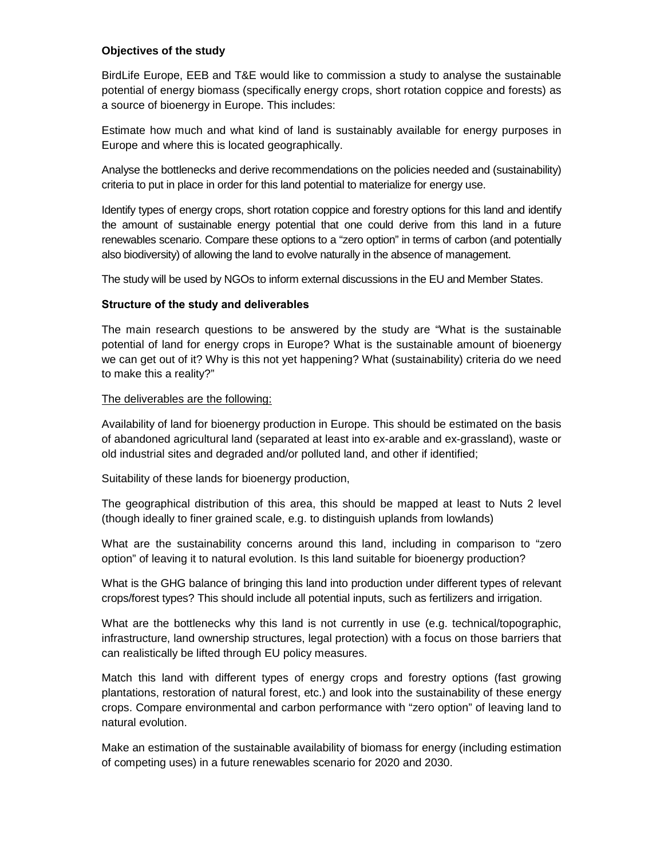#### **Objectives of the study**

BirdLife Europe, EEB and T&E would like to commission a study to analyse the sustainable potential of energy biomass (specifically energy crops, short rotation coppice and forests) as a source of bioenergy in Europe. This includes:

Estimate how much and what kind of land is sustainably available for energy purposes in Europe and where this is located geographically.

Analyse the bottlenecks and derive recommendations on the policies needed and (sustainability) criteria to put in place in order for this land potential to materialize for energy use.

Identify types of energy crops, short rotation coppice and forestry options for this land and identify the amount of sustainable energy potential that one could derive from this land in a future renewables scenario. Compare these options to a "zero option" in terms of carbon (and potentially also biodiversity) of allowing the land to evolve naturally in the absence of management.

The study will be used by NGOs to inform external discussions in the EU and Member States.

## **Structure of the study and deliverables**

The main research questions to be answered by the study are "What is the sustainable potential of land for energy crops in Europe? What is the sustainable amount of bioenergy we can get out of it? Why is this not yet happening? What (sustainability) criteria do we need to make this a reality?"

## The deliverables are the following:

Availability of land for bioenergy production in Europe. This should be estimated on the basis of abandoned agricultural land (separated at least into ex-arable and ex-grassland), waste or old industrial sites and degraded and/or polluted land, and other if identified;

Suitability of these lands for bioenergy production,

The geographical distribution of this area, this should be mapped at least to Nuts 2 level (though ideally to finer grained scale, e.g. to distinguish uplands from lowlands)

What are the sustainability concerns around this land, including in comparison to "zero option" of leaving it to natural evolution. Is this land suitable for bioenergy production?

What is the GHG balance of bringing this land into production under different types of relevant crops/forest types? This should include all potential inputs, such as fertilizers and irrigation.

What are the bottlenecks why this land is not currently in use (e.g. technical/topographic, infrastructure, land ownership structures, legal protection) with a focus on those barriers that can realistically be lifted through EU policy measures.

Match this land with different types of energy crops and forestry options (fast growing plantations, restoration of natural forest, etc.) and look into the sustainability of these energy crops. Compare environmental and carbon performance with "zero option" of leaving land to natural evolution.

Make an estimation of the sustainable availability of biomass for energy (including estimation of competing uses) in a future renewables scenario for 2020 and 2030.